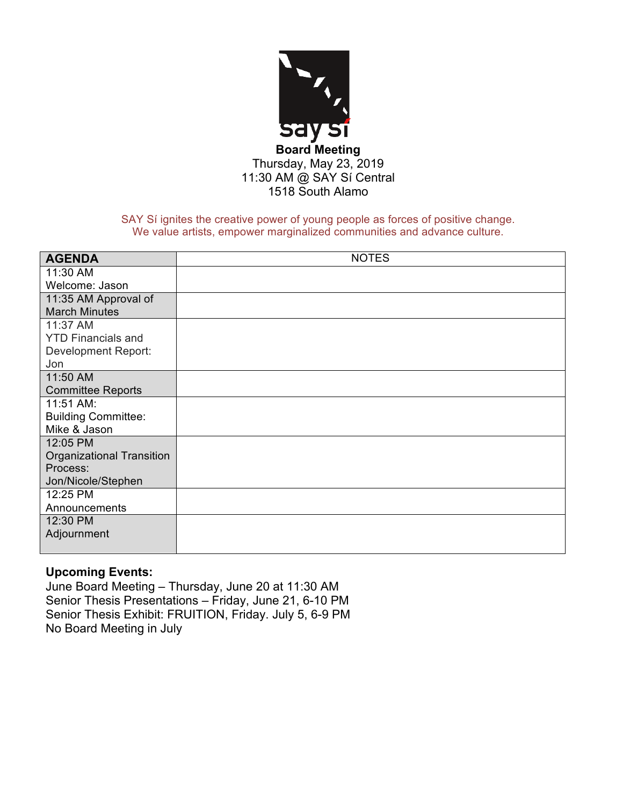

SAY Sí ignites the creative power of young people as forces of positive change. We value artists, empower marginalized communities and advance culture.

| <b>AGENDA</b>              | <b>NOTES</b> |
|----------------------------|--------------|
| 11:30 AM                   |              |
| Welcome: Jason             |              |
| 11:35 AM Approval of       |              |
| <b>March Minutes</b>       |              |
| 11:37 AM                   |              |
| <b>YTD Financials and</b>  |              |
| Development Report:        |              |
| Jon                        |              |
| 11:50 AM                   |              |
| <b>Committee Reports</b>   |              |
| 11:51 AM:                  |              |
| <b>Building Committee:</b> |              |
| Mike & Jason               |              |
| 12:05 PM                   |              |
| Organizational Transition  |              |
| Process:                   |              |
| Jon/Nicole/Stephen         |              |
| 12:25 PM                   |              |
| Announcements              |              |
| 12:30 PM                   |              |
| Adjournment                |              |
|                            |              |

# **Upcoming Events:**

June Board Meeting – Thursday, June 20 at 11:30 AM Senior Thesis Presentations – Friday, June 21, 6-10 PM Senior Thesis Exhibit: FRUITION, Friday. July 5, 6-9 PM No Board Meeting in July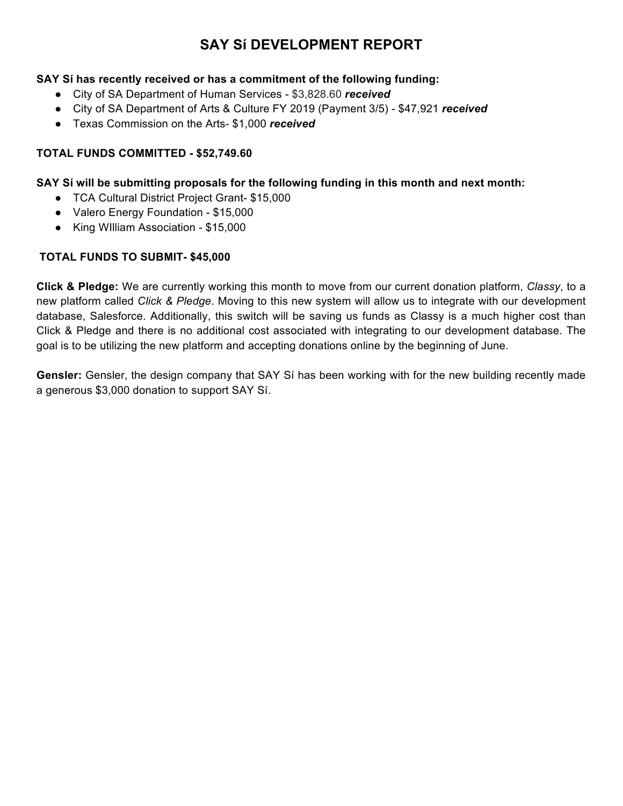# **SAY Sí DEVELOPMENT REPORT**

# **SAY Sí has recently received or has a commitment of the following funding:**

- City of SA Department of Human Services \$3,828.60 *received*
- City of SA Department of Arts & Culture FY 2019 (Payment 3/5) \$47,921 *received*
- Texas Commission on the Arts- \$1,000 *received*

# **TOTAL FUNDS COMMITTED - \$52,749.60**

## **SAY Sí will be submitting proposals for the following funding in this month and next month:**

- TCA Cultural District Project Grant- \$15,000
- Valero Energy Foundation \$15,000
- King WIlliam Association \$15,000

# **TOTAL FUNDS TO SUBMIT- \$45,000**

**Click & Pledge:** We are currently working this month to move from our current donation platform, *Classy*, to a new platform called *Click & Pledge*. Moving to this new system will allow us to integrate with our development database, Salesforce. Additionally, this switch will be saving us funds as Classy is a much higher cost than Click & Pledge and there is no additional cost associated with integrating to our development database. The goal is to be utilizing the new platform and accepting donations online by the beginning of June.

**Gensler:** Gensler, the design company that SAY Sí has been working with for the new building recently made a generous \$3,000 donation to support SAY Sí.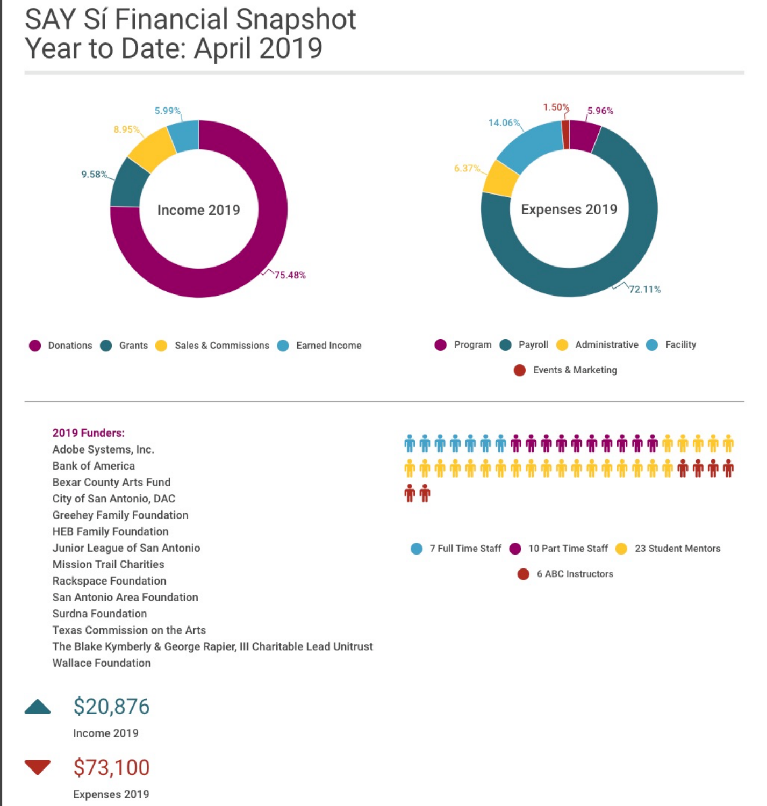# **SAY Sí Financial Snapshot** Year to Date: April 2019



# 2019 Funders: Adobe Systems, Inc. .<br>^^^^^^^^^^^^^^^^^^^^^^^^^^^^^^^^ **Bank of America Bexar County Arts Fund** City of San Antonio, DAC **Greehey Family Foundation HEB Family Foundation** Junior League of San Antonio 10 Part Time Staff 7 Full Time Staff 23 Student Mentors **Mission Trail Charities 6 ABC Instructors Rackspace Foundation** San Antonio Area Foundation **Surdna Foundation Texas Commission on the Arts** The Blake Kymberly & George Rapier, III Charitable Lead Unitrust **Wallace Foundation**



Income 2019

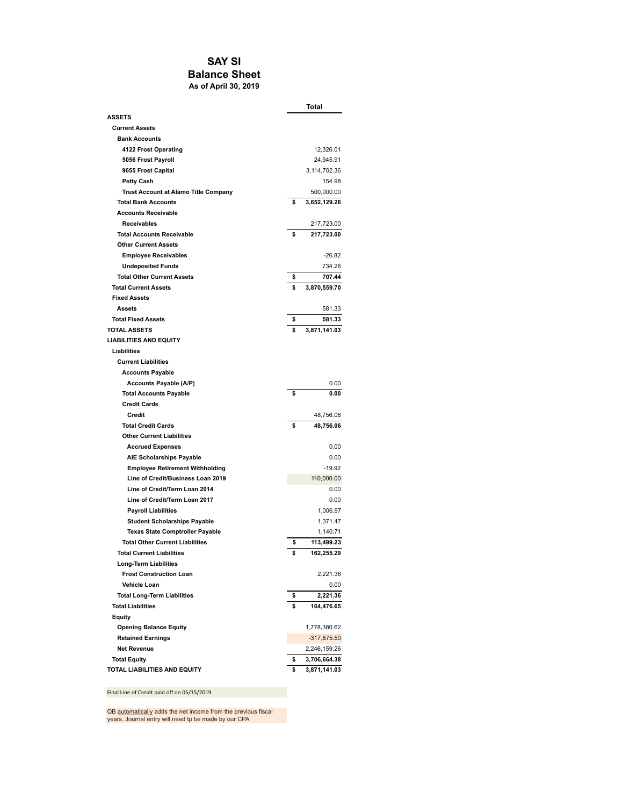#### **SAY SI Balance Sheet As of April 30, 2019**

|                                             | Total              |
|---------------------------------------------|--------------------|
| <b>ASSETS</b>                               |                    |
| <b>Current Assets</b>                       |                    |
| <b>Bank Accounts</b>                        |                    |
| 4122 Frost Operating                        | 12,326.01          |
| 5056 Frost Payroll                          | 24,945.91          |
| 9655 Frost Capital                          | 3,114,702.36       |
| <b>Petty Cash</b>                           | 154.98             |
| <b>Trust Account at Alamo Title Company</b> | 500,000.00         |
| <b>Total Bank Accounts</b>                  | \$<br>3,652,129.26 |
| <b>Accounts Receivable</b>                  |                    |
| <b>Receivables</b>                          | 217,723.00         |
| <b>Total Accounts Receivable</b>            | \$<br>217,723.00   |
| <b>Other Current Assets</b>                 |                    |
| <b>Employee Receivables</b>                 | $-26.82$           |
| <b>Undeposited Funds</b>                    | 734.26             |
| <b>Total Other Current Assets</b>           | \$<br>707.44       |
| <b>Total Current Assets</b>                 | \$<br>3,870,559.70 |
| <b>Fixed Assets</b>                         |                    |
| Assets                                      | 581.33             |
| <b>Total Fixed Assets</b>                   | \$<br>581.33       |
| <b>TOTAL ASSETS</b>                         | \$<br>3,871,141.03 |
| <b>LIABILITIES AND EQUITY</b>               |                    |
| Liabilities                                 |                    |
| <b>Current Liabilities</b>                  |                    |
| <b>Accounts Payable</b>                     |                    |
| Accounts Payable (A/P)                      | 0.00               |
| <b>Total Accounts Payable</b>               | \$<br>0.00         |
| <b>Credit Cards</b>                         |                    |
| Credit                                      | 48,756.06          |
| <b>Total Credit Cards</b>                   | \$<br>48,756.06    |
| <b>Other Current Liabilities</b>            |                    |
| <b>Accrued Expenses</b>                     | 0.00               |
| <b>AIE Scholarships Payable</b>             | 0.00               |
| <b>Employee Retirement Withholding</b>      | $-19.92$           |
| Line of Credit/Business Loan 2019           | 110,000.00         |
| Line of Credit/Term Loan 2014               | 0.00               |
| Line of Credit/Term Loan 2017               | 0.00               |
| <b>Payroll Liabilities</b>                  | 1,006.97           |
| <b>Student Scholarships Payable</b>         | 1,371.47           |
| <b>Texas State Comptroller Payable</b>      | 1,140.71           |
| <b>Total Other Current Liabilities</b>      | \$<br>113,499.23   |
| <b>Total Current Liabilities</b>            | \$<br>162,255.29   |
| <b>Long-Term Liabilities</b>                |                    |
| <b>Frost Construction Loan</b>              | 2,221.36           |
| <b>Vehicle Loan</b>                         | 0.00               |
| <b>Total Long-Term Liabilities</b>          | \$<br>2,221.36     |
| <b>Total Liabilities</b>                    | \$<br>164.476.65   |
|                                             |                    |
| Equity                                      |                    |
| <b>Opening Balance Equity</b>               | 1,778,380.62       |
| <b>Retained Earnings</b>                    | $-317,875.50$      |
| <b>Net Revenue</b>                          | 2,246,159.26       |
| <b>Total Equity</b>                         | \$<br>3,706,664.38 |
| TOTAL LIABILITIES AND EQUITY                | \$<br>3,871,141.03 |

Final Line of Creidt paid off on 05/15/2019

QB automatically adds the net income from the previous fiscal years. Journal entry will need to be made by our CPA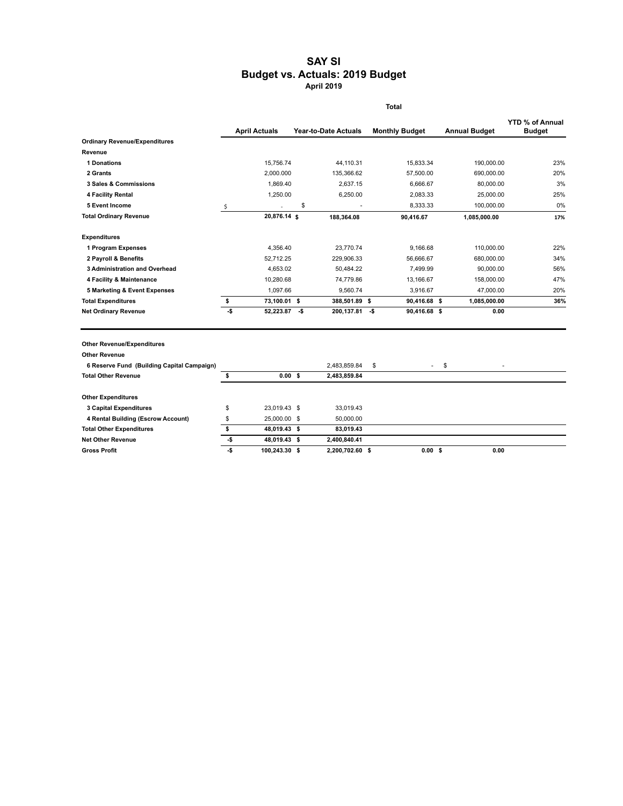#### **SAY SI Budget vs. Actuals: 2019 Budget April 2019**

|                                            | <b>Total</b> |                      |    |                             |    |                       |                      |                                         |
|--------------------------------------------|--------------|----------------------|----|-----------------------------|----|-----------------------|----------------------|-----------------------------------------|
|                                            |              | <b>April Actuals</b> |    | <b>Year-to-Date Actuals</b> |    | <b>Monthly Budget</b> | <b>Annual Budget</b> | <b>YTD % of Annual</b><br><b>Budget</b> |
| <b>Ordinary Revenue/Expenditures</b>       |              |                      |    |                             |    |                       |                      |                                         |
| Revenue                                    |              |                      |    |                             |    |                       |                      |                                         |
| <b>1 Donations</b>                         |              | 15.756.74            |    | 44.110.31                   |    | 15.833.34             | 190.000.00           | 23%                                     |
| 2 Grants                                   |              | 2,000.000            |    | 135,366.62                  |    | 57,500.00             | 690,000.00           | 20%                                     |
| 3 Sales & Commissions                      |              | 1,869.40             |    | 2,637.15                    |    | 6,666.67              | 80,000.00            | 3%                                      |
| 4 Facility Rental                          |              | 1,250.00             |    | 6,250.00                    |    | 2,083.33              | 25,000.00            | 25%                                     |
| 5 Event Income                             | \$           |                      | \$ |                             |    | 8.333.33              | 100,000.00           | 0%                                      |
| <b>Total Ordinary Revenue</b>              |              | 20,876.14 \$         |    | 188,364.08                  |    | 90,416.67             | 1,085,000.00         | 17%                                     |
| <b>Expenditures</b>                        |              |                      |    |                             |    |                       |                      |                                         |
| 1 Program Expenses                         |              | 4,356.40             |    | 23.770.74                   |    | 9.166.68              | 110.000.00           | 22%                                     |
| 2 Payroll & Benefits                       |              | 52.712.25            |    | 229,906.33                  |    | 56.666.67             | 680,000.00           | 34%                                     |
| 3 Administration and Overhead              |              | 4,653.02             |    | 50,484.22                   |    | 7,499.99              | 90,000.00            | 56%                                     |
| 4 Facility & Maintenance                   |              | 10,280.68            |    | 74,779.86                   |    | 13,166.67             | 158,000.00           | 47%                                     |
| 5 Marketing & Event Expenses               |              | 1,097.66             |    | 9.560.74                    |    | 3.916.67              | 47,000.00            | 20%                                     |
| <b>Total Expenditures</b>                  | \$           | 73,100.01 \$         |    | 388,501.89 \$               |    | 90,416.68 \$          | 1,085,000.00         | 36%                                     |
| <b>Net Ordinary Revenue</b>                | -\$          | 52,223.87 \$         |    | 200,137.81 -\$              |    | 90,416.68 \$          | 0.00                 |                                         |
| <b>Other Revenue/Expenditures</b>          |              |                      |    |                             |    |                       |                      |                                         |
| <b>Other Revenue</b>                       |              |                      |    |                             |    |                       |                      |                                         |
| 6 Reserve Fund (Building Capital Campaign) |              |                      |    | 2,483,859.84                | \$ |                       | \$                   |                                         |
| <b>Total Other Revenue</b>                 | \$           | 0.00 S               |    | 2,483,859.84                |    |                       |                      |                                         |
| <b>Other Expenditures</b>                  |              |                      |    |                             |    |                       |                      |                                         |
| 3 Capital Expenditures                     | \$           | 23.019.43 \$         |    | 33,019.43                   |    |                       |                      |                                         |
| 4 Rental Building (Escrow Account)         | \$           | 25,000.00 \$         |    | 50,000.00                   |    |                       |                      |                                         |
| <b>Total Other Expenditures</b>            | \$           | 48,019.43 \$         |    | 83,019.43                   |    |                       |                      |                                         |
| <b>Net Other Revenue</b>                   | -\$          | 48,019.43 \$         |    | 2,400,840.41                |    |                       |                      |                                         |
| <b>Gross Profit</b>                        | -\$          | 100,243.30 \$        |    | 2,200,702.60 \$             |    | $0.00$ \$             | 0.00                 |                                         |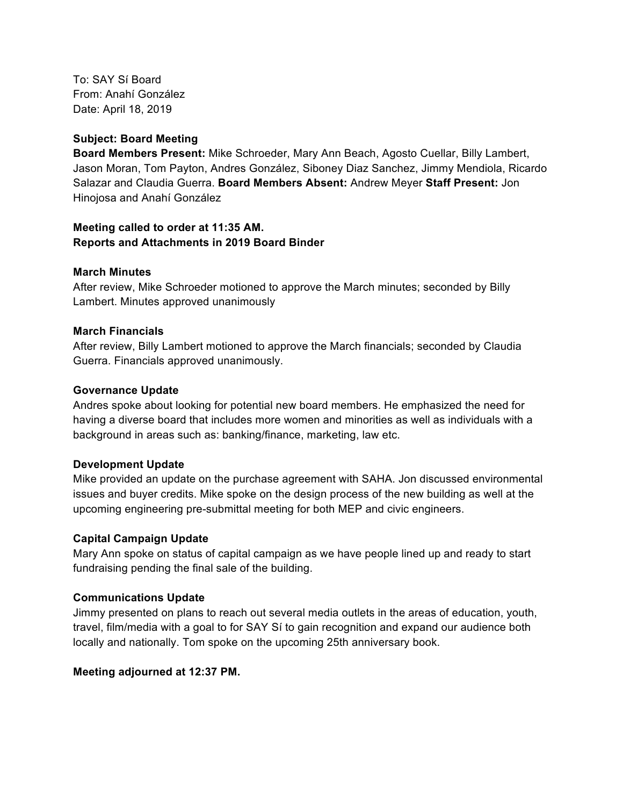To: SAY Sí Board From: Anahí González Date: April 18, 2019

#### **Subject: Board Meeting**

**Board Members Present:** Mike Schroeder, Mary Ann Beach, Agosto Cuellar, Billy Lambert, Jason Moran, Tom Payton, Andres González, Siboney Diaz Sanchez, Jimmy Mendiola, Ricardo Salazar and Claudia Guerra. **Board Members Absent:** Andrew Meyer **Staff Present:** Jon Hinojosa and Anahí González

#### **Meeting called to order at 11:35 AM. Reports and Attachments in 2019 Board Binder**

#### **March Minutes**

After review, Mike Schroeder motioned to approve the March minutes; seconded by Billy Lambert. Minutes approved unanimously

#### **March Financials**

After review, Billy Lambert motioned to approve the March financials; seconded by Claudia Guerra. Financials approved unanimously.

#### **Governance Update**

Andres spoke about looking for potential new board members. He emphasized the need for having a diverse board that includes more women and minorities as well as individuals with a background in areas such as: banking/finance, marketing, law etc.

## **Development Update**

Mike provided an update on the purchase agreement with SAHA. Jon discussed environmental issues and buyer credits. Mike spoke on the design process of the new building as well at the upcoming engineering pre-submittal meeting for both MEP and civic engineers.

#### **Capital Campaign Update**

Mary Ann spoke on status of capital campaign as we have people lined up and ready to start fundraising pending the final sale of the building.

## **Communications Update**

Jimmy presented on plans to reach out several media outlets in the areas of education, youth, travel, film/media with a goal to for SAY Sí to gain recognition and expand our audience both locally and nationally. Tom spoke on the upcoming 25th anniversary book.

## **Meeting adjourned at 12:37 PM.**